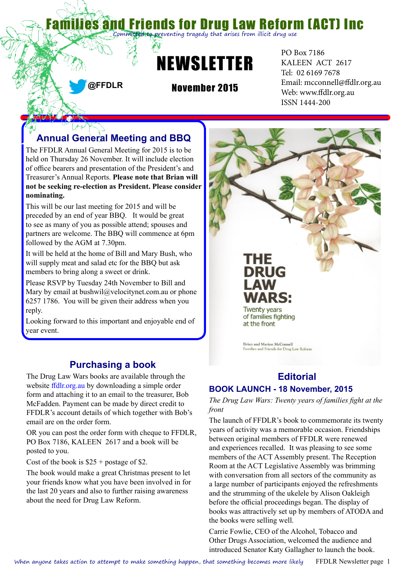# riends for Drug Law Reform (ACT) Inc

**o pr**eventing tragedy that arises from illicit drug use



**@FFDLR**

November 2015

PO Box 7186 KALEEN ACT 2617 Tel: 02 6169 7678 Email: [mcconnell@ffdlr.org.au](mailto:mcconnell@ffdlr.org.au) Web: www.ffdlr.org.au ISSN 1444-200

# **Annual General Meeting and BBQ**

The FFDLR Annual General Meeting for 2015 is to be held on Thursday 26 November. It will include election of office bearers and presentation of the President's and Treasurer's Annual Reports. **Please note that Brian will not be seeking re-election as President. Please consider nominating.**

This will be our last meeting for 2015 and will be preceded by an end of year BBQ. It would be great to see as many of you as possible attend; spouses and partners are welcome. The BBQ will commence at 6pm followed by the AGM at 7.30pm.

It will be held at the home of Bill and Mary Bush, who will supply meat and salad etc for the BBQ but ask members to bring along a sweet or drink.

Please RSVP by Tuesday 24th November to Bill and Mary by email at bushwil@velocitynet.com.au or phone 6257 1786. You will be given their address when you reply.

Looking forward to this important and enjoyable end of year event.

### **Purchasing a book**

The Drug Law Wars books are available through the website [ffdlr.org.au](http://ffdlr.org.au) by downloading a simple order form and attaching it to an email to the treasurer, Bob McFadden. Payment can be made by direct credit to FFDLR's account details of which together with Bob's email are on the order form.

OR you can post the order form with cheque to FFDLR, PO Box 7186, KALEEN 2617 and a book will be posted to you.

Cost of the book is  $$25 + postage$  of \$2.

The book would make a great Christmas present to let your friends know what you have been involved in for the last 20 years and also to further raising awareness about the need for Drug Law Reform.



## **Editorial**

### **BOOK LAUNCH - 18 November, 2015**

*The Drug Law Wars: Twenty years of families fight at the front*

The launch of FFDLR's book to commemorate its twenty years of activity was a memorable occasion. Friendships between original members of FFDLR were renewed and experiences recalled. It was pleasing to see some members of the ACT Assembly present. The Reception Room at the ACT Legislative Assembly was brimming with conversation from all sectors of the community as a large number of participants enjoyed the refreshments and the strumming of the ukelele by Alison Oakleigh before the official proceedings began. The display of books was attractively set up by members of ATODA and the books were selling well.

Carrie Fowlie, CEO of the Alcohol, Tobacco and Other Drugs Association, welcomed the audience and introduced Senator Katy Gallagher to launch the book.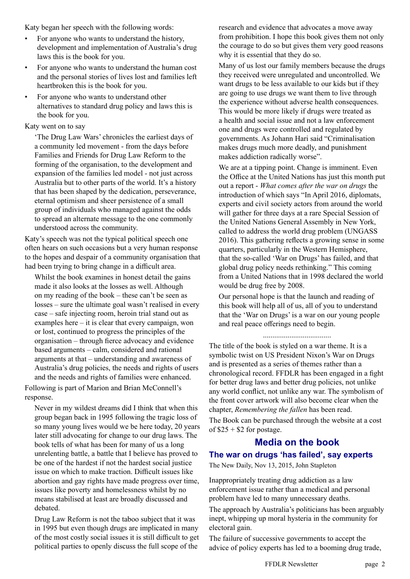Katy began her speech with the following words:

- For anyone who wants to understand the history, development and implementation of Australia's drug laws this is the book for you.
- For anyone who wants to understand the human cost and the personal stories of lives lost and families left heartbroken this is the book for you.
- For anyone who wants to understand other alternatives to standard drug policy and laws this is the book for you.

#### Katy went on to say

'The Drug Law Wars' chronicles the earliest days of a community led movement - from the days before Families and Friends for Drug Law Reform to the forming of the organisation, to the development and expansion of the families led model - not just across Australia but to other parts of the world. It's a history that has been shaped by the dedication, perseverance, eternal optimism and sheer persistence of a small group of individuals who managed against the odds to spread an alternate message to the one commonly understood across the community.

Katy's speech was not the typical political speech one often hears on such occasions but a very human response to the hopes and despair of a community organisation that had been trying to bring change in a difficult area.

Whilst the book examines in honest detail the gains made it also looks at the losses as well. Although on my reading of the book – these can't be seen as losses – sure the ultimate goal wasn't realised in every case – safe injecting room, heroin trial stand out as examples here – it is clear that every campaign, won or lost, continued to progress the principles of the organisation – through fierce advocacy and evidence based arguments – calm, considered and rational arguments at that – understanding and awareness of Australia's drug policies, the needs and rights of users and the needs and rights of families were enhanced.

Following is part of Marion and Brian McConnell's response.

Never in my wildest dreams did I think that when this group began back in 1995 following the tragic loss of so many young lives would we be here today, 20 years later still advocating for change to our drug laws. The book tells of what has been for many of us a long unrelenting battle, a battle that I believe has proved to be one of the hardest if not the hardest social justice issue on which to make traction. Difficult issues like abortion and gay rights have made progress over time, issues like poverty and homelessness whilst by no means stabilised at least are broadly discussed and debated.

Drug Law Reform is not the taboo subject that it was in 1995 but even though drugs are implicated in many of the most costly social issues it is still difficult to get political parties to openly discuss the full scope of the

research and evidence that advocates a move away from prohibition. I hope this book gives them not only the courage to do so but gives them very good reasons why it is essential that they do so.

Many of us lost our family members because the drugs they received were unregulated and uncontrolled. We want drugs to be less available to our kids but if they are going to use drugs we want them to live through the experience without adverse health consequences. This would be more likely if drugs were treated as a health and social issue and not a law enforcement one and drugs were controlled and regulated by governments. As Johann Hari said "Criminalisation makes drugs much more deadly, and punishment makes addiction radically worse".

We are at a tipping point. Change is imminent. Even the Office at the United Nations has just this month put out a report - *What comes after the war on drugs* the introduction of which says "In April 2016, diplomats, experts and civil society actors from around the world will gather for three days at a rare Special Session of the United Nations General Assembly in New York, called to address the world drug problem (UNGASS 2016). This gathering reflects a growing sense in some quarters, particularly in the Western Hemisphere, that the so-called 'War on Drugs' has failed, and that global drug policy needs rethinking." This coming from a United Nations that in 1998 declared the world would be drug free by 2008.

Our personal hope is that the launch and reading of this book will help all of us, all of you to understand that the 'War on Drugs' is a war on our young people and real peace offerings need to begin.

....................................

The title of the book is styled on a war theme. It is a symbolic twist on US President Nixon's War on Drugs and is presented as a series of themes rather than a chronological record. FFDLR has been engaged in a fight for better drug laws and better drug policies, not unlike any world conflict, not unlike any war. The symbolism of the front cover artwork will also become clear when the chapter, *Remembering the fallen* has been read.

The Book can be purchased through the website at a cost of  $$25 + $2$  for postage.

### **Media on the book The war on drugs 'has failed', say experts**

The New Daily, Nov 13, 2015, John Stapleton

Inappropriately treating drug addiction as a law enforcement issue rather than a medical and personal problem have led to many unnecessary deaths.

The approach by Australia's politicians has been arguably inept, whipping up moral hysteria in the community for electoral gain.

The failure of successive governments to accept the advice of policy experts has led to a booming drug trade,

FFDLR Newsletter page 2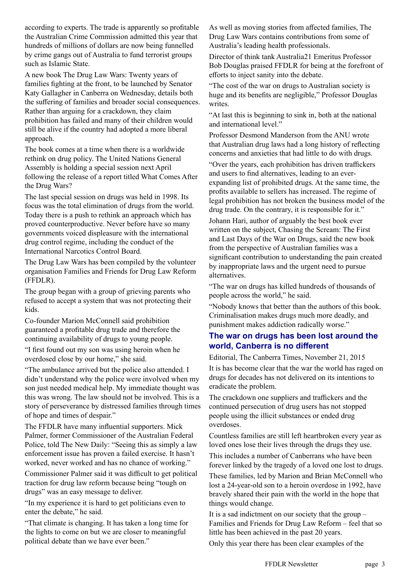according to experts. The trade is apparently so profitable the Australian Crime Commission admitted this year that hundreds of millions of dollars are now being funnelled by crime gangs out of Australia to fund terrorist groups such as Islamic State.

A new book The Drug Law Wars: Twenty years of families fighting at the front, to be launched by Senator Katy Gallagher in Canberra on Wednesday, details both the suffering of families and broader social consequences. Rather than arguing for a crackdown, they claim prohibition has failed and many of their children would still be alive if the country had adopted a more liberal approach.

The book comes at a time when there is a worldwide rethink on drug policy. The United Nations General Assembly is holding a special session next April following the release of a report titled What Comes After the Drug Wars?

The last special session on drugs was held in 1998. Its focus was the total elimination of drugs from the world. Today there is a push to rethink an approach which has proved counterproductive. Never before have so many governments voiced displeasure with the international drug control regime, including the conduct of the International Narcotics Control Board.

The Drug Law Wars has been compiled by the volunteer organisation Families and Friends for Drug Law Reform (FFDLR).

The group began with a group of grieving parents who refused to accept a system that was not protecting their kids.

Co-founder Marion McConnell said prohibition guaranteed a profitable drug trade and therefore the continuing availability of drugs to young people.

"I first found out my son was using heroin when he overdosed close by our home," she said.

"The ambulance arrived but the police also attended. I didn't understand why the police were involved when my son just needed medical help. My immediate thought was this was wrong. The law should not be involved. This is a story of perseverance by distressed families through times of hope and times of despair."

The FFDLR have many influential supporters. Mick Palmer, former Commissioner of the Australian Federal Police, told The New Daily: "Seeing this as simply a law enforcement issue has proven a failed exercise. It hasn't worked, never worked and has no chance of working."

Commissioner Palmer said it was difficult to get political traction for drug law reform because being "tough on drugs" was an easy message to deliver.

"In my experience it is hard to get politicians even to enter the debate," he said.

"That climate is changing. It has taken a long time for the lights to come on but we are closer to meaningful political debate than we have ever been."

As well as moving stories from affected families, The Drug Law Wars contains contributions from some of Australia's leading health professionals.

Director of think tank Australia21 Emeritus Professor Bob Douglas praised FFDLR for being at the forefront of efforts to inject sanity into the debate.

"The cost of the war on drugs to Australian society is huge and its benefits are negligible," Professor Douglas writes.

"At last this is beginning to sink in, both at the national and international level."

Professor Desmond Manderson from the ANU wrote that Australian drug laws had a long history of reflecting concerns and anxieties that had little to do with drugs.

"Over the years, each prohibition has driven traffickers and users to find alternatives, leading to an everexpanding list of prohibited drugs. At the same time, the profits available to sellers has increased. The regime of legal prohibition has not broken the business model of the drug trade. On the contrary, it is responsible for it." Johann Hari, author of arguably the best book ever written on the subject, Chasing the Scream: The First and Last Days of the War on Drugs, said the new book from the perspective of Australian families was a significant contribution to understanding the pain created by inappropriate laws and the urgent need to pursue alternatives.

"The war on drugs has killed hundreds of thousands of people across the world," he said.

"Nobody knows that better than the authors of this book. Criminalisation makes drugs much more deadly, and punishment makes addiction radically worse."

#### **The war on drugs has been lost around the world, Canberra is no different**

Editorial, The Canberra Times, November 21, 2015 It is has become clear that the war the world has raged on drugs for decades has not delivered on its intentions to eradicate the problem.

The crackdown one suppliers and traffickers and the continued persecution of drug users has not stopped people using the illicit substances or ended drug overdoses.

Countless families are still left heartbroken every year as loved ones lose their lives through the drugs they use. This includes a number of Canberrans who have been

forever linked by the tragedy of a loved one lost to drugs.

These families, led by Marion and Brian McConnell who lost a 24-year-old son to a heroin overdose in 1992, have bravely shared their pain with the world in the hope that things would change.

It is a sad indictment on our society that the group – Families and Friends for Drug Law Reform – feel that so little has been achieved in the past 20 years.

Only this year there has been clear examples of the